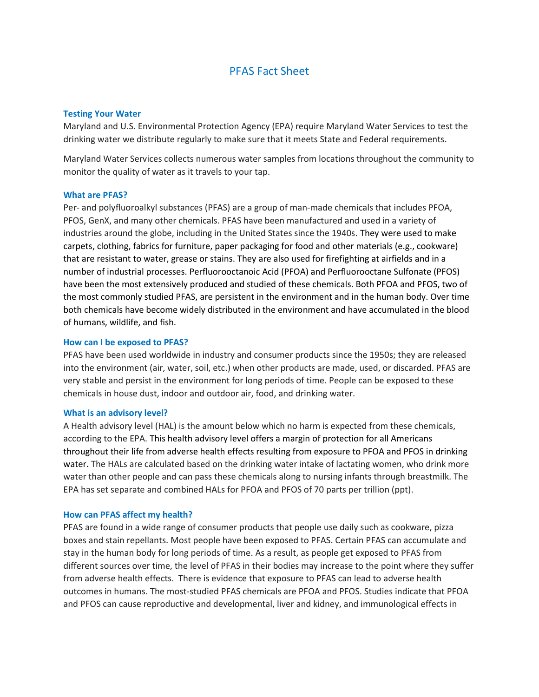# PFAS Fact Sheet

# Testing Your Water

Maryland and U.S. Environmental Protection Agency (EPA) require Maryland Water Services to test the drinking water we distribute regularly to make sure that it meets State and Federal requirements.

Maryland Water Services collects numerous water samples from locations throughout the community to monitor the quality of water as it travels to your tap.

## What are PFAS?

Per- and polyfluoroalkyl substances (PFAS) are a group of man-made chemicals that includes PFOA, PFOS, GenX, and many other chemicals. PFAS have been manufactured and used in a variety of industries around the globe, including in the United States since the 1940s. They were used to make carpets, clothing, fabrics for furniture, paper packaging for food and other materials (e.g., cookware) that are resistant to water, grease or stains. They are also used for firefighting at airfields and in a number of industrial processes. Perfluorooctanoic Acid (PFOA) and Perfluorooctane Sulfonate (PFOS) have been the most extensively produced and studied of these chemicals. Both PFOA and PFOS, two of the most commonly studied PFAS, are persistent in the environment and in the human body. Over time both chemicals have become widely distributed in the environment and have accumulated in the blood of humans, wildlife, and fish.

#### How can I be exposed to PFAS?

PFAS have been used worldwide in industry and consumer products since the 1950s; they are released into the environment (air, water, soil, etc.) when other products are made, used, or discarded. PFAS are very stable and persist in the environment for long periods of time. People can be exposed to these chemicals in house dust, indoor and outdoor air, food, and drinking water.

#### What is an advisory level?

A Health advisory level (HAL) is the amount below which no harm is expected from these chemicals, according to the EPA. This health advisory level offers a margin of protection for all Americans throughout their life from adverse health effects resulting from exposure to PFOA and PFOS in drinking water. The HALs are calculated based on the drinking water intake of lactating women, who drink more water than other people and can pass these chemicals along to nursing infants through breastmilk. The EPA has set separate and combined HALs for PFOA and PFOS of 70 parts per trillion (ppt).

#### How can PFAS affect my health?

PFAS are found in a wide range of consumer products that people use daily such as cookware, pizza boxes and stain repellants. Most people have been exposed to PFAS. Certain PFAS can accumulate and stay in the human body for long periods of time. As a result, as people get exposed to PFAS from different sources over time, the level of PFAS in their bodies may increase to the point where they suffer from adverse health effects. There is evidence that exposure to PFAS can lead to adverse health outcomes in humans. The most-studied PFAS chemicals are PFOA and PFOS. Studies indicate that PFOA and PFOS can cause reproductive and developmental, liver and kidney, and immunological effects in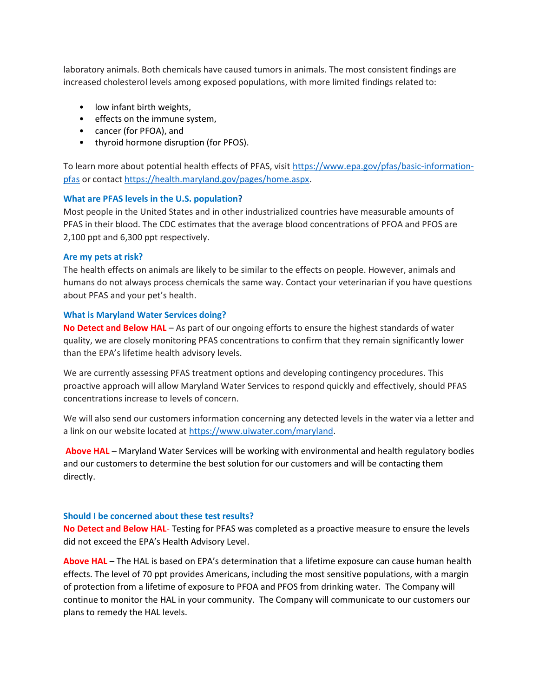laboratory animals. Both chemicals have caused tumors in animals. The most consistent findings are increased cholesterol levels among exposed populations, with more limited findings related to:

- low infant birth weights,
- effects on the immune system,
- cancer (for PFOA), and
- thyroid hormone disruption (for PFOS).

To learn more about potential health effects of PFAS, visit https://www.epa.gov/pfas/basic-informationpfas or contact https://health.maryland.gov/pages/home.aspx.

## What are PFAS levels in the U.S. population?

Most people in the United States and in other industrialized countries have measurable amounts of PFAS in their blood. The CDC estimates that the average blood concentrations of PFOA and PFOS are 2,100 ppt and 6,300 ppt respectively.

## Are my pets at risk?

The health effects on animals are likely to be similar to the effects on people. However, animals and humans do not always process chemicals the same way. Contact your veterinarian if you have questions about PFAS and your pet's health.

## What is Maryland Water Services doing?

No Detect and Below HAL – As part of our ongoing efforts to ensure the highest standards of water quality, we are closely monitoring PFAS concentrations to confirm that they remain significantly lower than the EPA's lifetime health advisory levels.

We are currently assessing PFAS treatment options and developing contingency procedures. This proactive approach will allow Maryland Water Services to respond quickly and effectively, should PFAS concentrations increase to levels of concern.

We will also send our customers information concerning any detected levels in the water via a letter and a link on our website located at https://www.uiwater.com/maryland.

Above HAL – Maryland Water Services will be working with environmental and health regulatory bodies and our customers to determine the best solution for our customers and will be contacting them directly.

#### Should I be concerned about these test results?

No Detect and Below HAL- Testing for PFAS was completed as a proactive measure to ensure the levels did not exceed the EPA's Health Advisory Level.

Above HAL – The HAL is based on EPA's determination that a lifetime exposure can cause human health effects. The level of 70 ppt provides Americans, including the most sensitive populations, with a margin of protection from a lifetime of exposure to PFOA and PFOS from drinking water. The Company will continue to monitor the HAL in your community. The Company will communicate to our customers our plans to remedy the HAL levels.